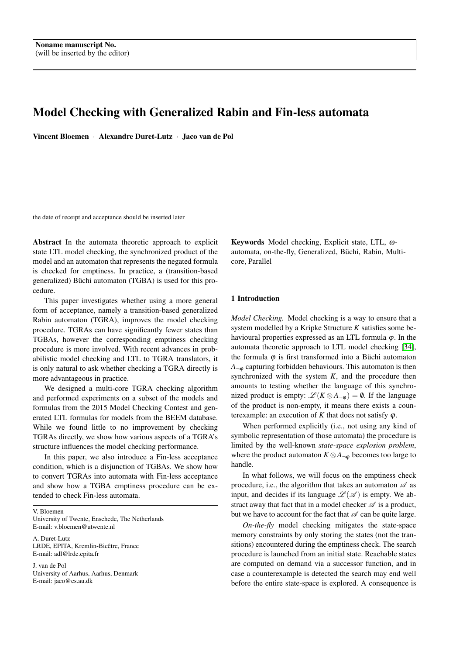# Model Checking with Generalized Rabin and Fin-less automata

Vincent Bloemen · Alexandre Duret-Lutz · Jaco van de Pol

the date of receipt and acceptance should be inserted later

Abstract In the automata theoretic approach to explicit state LTL model checking, the synchronized product of the model and an automaton that represents the negated formula is checked for emptiness. In practice, a (transition-based generalized) Büchi automaton (TGBA) is used for this procedure.

This paper investigates whether using a more general form of acceptance, namely a transition-based generalized Rabin automaton (TGRA), improves the model checking procedure. TGRAs can have significantly fewer states than TGBAs, however the corresponding emptiness checking procedure is more involved. With recent advances in probabilistic model checking and LTL to TGRA translators, it is only natural to ask whether checking a TGRA directly is more advantageous in practice.

We designed a multi-core TGRA checking algorithm and performed experiments on a subset of the models and formulas from the 2015 Model Checking Contest and generated LTL formulas for models from the BEEM database. While we found little to no improvement by checking TGRAs directly, we show how various aspects of a TGRA's structure influences the model checking performance.

In this paper, we also introduce a Fin-less acceptance condition, which is a disjunction of TGBAs. We show how to convert TGRAs into automata with Fin-less acceptance and show how a TGBA emptiness procedure can be extended to check Fin-less automata.

V. Bloemen University of Twente, Enschede, The Netherlands E-mail: v.bloemen@utwente.nl

A. Duret-Lutz LRDE, EPITA, Kremlin-Bicêtre, France E-mail: adl@lrde.epita.fr

J. van de Pol University of Aarhus, Aarhus, Denmark E-mail: jaco@cs.au.dk

Keywords Model checking, Explicit state, LTL, ωautomata, on-the-fly, Generalized, Büchi, Rabin, Multicore, Parallel

### <span id="page-0-0"></span>1 Introduction

*Model Checking.* Model checking is a way to ensure that a system modelled by a Kripke Structure *K* satisfies some behavioural properties expressed as an LTL formula  $\varphi$ . In the automata theoretic approach to LTL model checking [\[34\]](#page-16-0), the formula  $\varphi$  is first transformed into a Büchi automaton  $A_{\neg \phi}$  capturing forbidden behaviours. This automaton is then synchronized with the system  $K$ , and the procedure then amounts to testing whether the language of this synchronized product is empty:  $\mathscr{L}(K \otimes A_{\neg \varphi}) = \emptyset$ . If the language of the product is non-empty, it means there exists a counterexample: an execution of  $K$  that does not satisfy  $\varphi$ .

When performed explicitly (i.e., not using any kind of symbolic representation of those automata) the procedure is limited by the well-known *state-space explosion problem*, where the product automaton  $K \otimes A_{\neg \phi}$  becomes too large to handle.

In what follows, we will focus on the emptiness check procedure, i.e., the algorithm that takes an automaton  $\mathscr A$  as input, and decides if its language  $\mathcal{L}(\mathcal{A})$  is empty. We abstract away that fact that in a model checker  $\mathscr A$  is a product, but we have to account for the fact that  $\mathscr A$  can be quite large.

*On-the-fly* model checking mitigates the state-space memory constraints by only storing the states (not the transitions) encountered during the emptiness check. The search procedure is launched from an initial state. Reachable states are computed on demand via a successor function, and in case a counterexample is detected the search may end well before the entire state-space is explored. A consequence is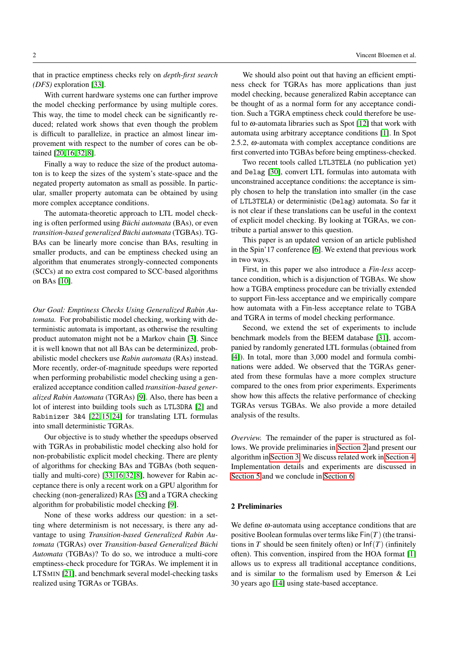that in practice emptiness checks rely on *depth-first search (DFS)* exploration [\[33\]](#page-16-1).

With current hardware systems one can further improve the model checking performance by using multiple cores. This way, the time to model check can be significantly reduced; related work shows that even though the problem is difficult to parallelize, in practice an almost linear improvement with respect to the number of cores can be obtained [\[20,](#page-16-2) [16,](#page-16-3) [32,](#page-16-4) [8\]](#page-16-5).

Finally a way to reduce the size of the product automaton is to keep the sizes of the system's state-space and the negated property automaton as small as possible. In particular, smaller property automata can be obtained by using more complex acceptance conditions.

The automata-theoretic approach to LTL model checking is often performed using *Büchi automata* (BAs), or even *transition-based generalized Buchi automata ¨* (TGBAs). TG-BAs can be linearly more concise than BAs, resulting in smaller products, and can be emptiness checked using an algorithm that enumerates strongly-connected components (SCCs) at no extra cost compared to SCC-based algorithms on BAs [\[10\]](#page-16-6).

*Our Goal: Emptiness Checks Using Generalized Rabin Automata.* For probabilistic model checking, working with deterministic automata is important, as otherwise the resulting product automaton might not be a Markov chain [\[3\]](#page-16-7). Since it is well known that not all BAs can be determinized, probabilistic model checkers use *Rabin automata* (RAs) instead. More recently, order-of-magnitude speedups were reported when performing probabilistic model checking using a generalized acceptance condition called *transition-based generalized Rabin Automata* (TGRAs) [\[9\]](#page-16-8). Also, there has been a lot of interest into building tools such as LTL3DRA [\[2\]](#page-16-9) and Rabinizer 3&4 [\[22,](#page-16-10) [15,](#page-16-11) [24\]](#page-16-12) for translating LTL formulas into small deterministic TGRAs.

Our objective is to study whether the speedups observed with TGRAs in probabilistic model checking also hold for non-probabilistic explicit model checking. There are plenty of algorithms for checking BAs and TGBAs (both sequentially and multi-core) [\[33,](#page-16-1) [16,](#page-16-3) [32,](#page-16-4) [8\]](#page-16-5), however for Rabin acceptance there is only a recent work on a GPU algorithm for checking (non-generalized) RAs [\[35\]](#page-16-13) and a TGRA checking algorithm for probabilistic model checking [\[9\]](#page-16-8).

None of these works address our question: in a setting where determinism is not necessary, is there any advantage to using *Transition-based Generalized Rabin Automata* (TGRAs) over *Transition-based Generalized Buchi ¨ Automata* (TGBAs)? To do so, we introduce a multi-core emptiness-check procedure for TGRAs. We implement it in LTSMIN [\[21\]](#page-16-14), and benchmark several model-checking tasks realized using TGRAs or TGBAs.

We should also point out that having an efficient emptiness check for TGRAs has more applications than just model checking, because generalized Rabin acceptance can be thought of as a normal form for any acceptance condition. Such a TGRA emptiness check could therefore be useful to  $\omega$ -automata libraries such as Spot [\[12\]](#page-16-15) that work with automata using arbitrary acceptance conditions [\[1\]](#page-15-0). In Spot 2.5.2, ω-automata with complex acceptance conditions are first converted into TGBAs before being emptiness-checked.

Two recent tools called LTL3TELA (no publication yet) and Delag [\[30\]](#page-16-16), convert LTL formulas into automata with unconstrained acceptance conditions: the acceptance is simply chosen to help the translation into smaller (in the case of LTL3TELA) or deterministic (Delag) automata. So far it is not clear if these translations can be useful in the context of explicit model checking. By looking at TGRAs, we contribute a partial answer to this question.

This paper is an updated version of an article published in the Spin'17 conference [\[6\]](#page-16-17). We extend that previous work in two ways.

First, in this paper we also introduce a *Fin-less* acceptance condition, which is a disjunction of TGBAs. We show how a TGBA emptiness procedure can be trivially extended to support Fin-less acceptance and we empirically compare how automata with a Fin-less acceptance relate to TGBA and TGRA in terms of model checking performance.

Second, we extend the set of experiments to include benchmark models from the BEEM database [\[31\]](#page-16-18), accompanied by randomly generated LTL formulas (obtained from [\[4\]](#page-16-19)). In total, more than 3,000 model and formula combinations were added. We observed that the TGRAs generated from these formulas have a more complex structure compared to the ones from prior experiments. Experiments show how this affects the relative performance of checking TGRAs versus TGBAs. We also provide a more detailed analysis of the results.

*Overview.* The remainder of the paper is structured as follows. We provide preliminaries in [Section 2](#page-1-0) and present our algorithm in [Section 3.](#page-4-0) We discuss related work in [Section 4.](#page-9-0) Implementation details and experiments are discussed in [Section 5](#page-10-0) and we conclude in [Section 6.](#page-15-1)

## <span id="page-1-0"></span>2 Preliminaries

We define  $\omega$ -automata using acceptance conditions that are positive Boolean formulas over terms like  $Fin(T)$  (the transitions in  $T$  should be seen finitely often) or  $\text{Inf}(T)$  (infinitely often). This convention, inspired from the HOA format [\[1\]](#page-15-0) allows us to express all traditional acceptance conditions, and is similar to the formalism used by Emerson & Lei 30 years ago [\[14\]](#page-16-20) using state-based acceptance.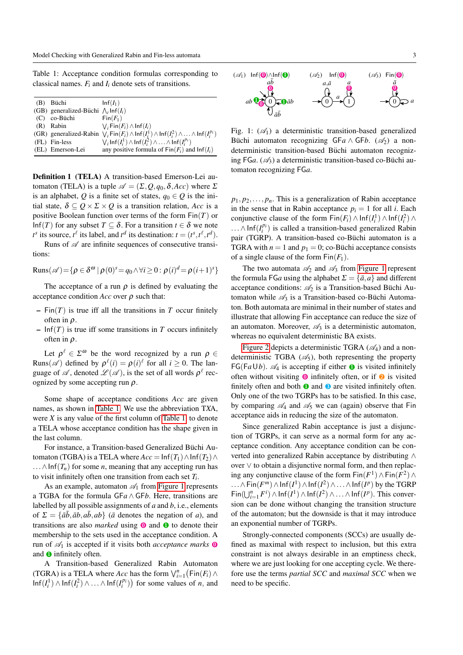<span id="page-2-0"></span>Table 1: Acceptance condition formulas corresponding to classical names.  $F_i$  and  $I_i$  denote sets of transitions.

| (B) | Büchi                                          | $Inf(I_1)$                                                                                                                                      |
|-----|------------------------------------------------|-------------------------------------------------------------------------------------------------------------------------------------------------|
|     | (GB) generalized-Büchi $\wedge_i$ Inf( $I_i$ ) |                                                                                                                                                 |
| (C) | co-Büchi                                       | $Fin(F_1)$                                                                                                                                      |
| (R) | Rabin                                          | $\bigvee_i \text{Fin}(F_i) \wedge \text{Inf}(I_i)$                                                                                              |
|     |                                                | (GR) generalized-Rabin $\bigvee_i \text{Fin}(F_i) \wedge \text{Inf}(I_i^1) \wedge \text{Inf}(I_i^2) \wedge \ldots \wedge \text{Inf}(I_i^{p_i})$ |
|     | (FL) Fin-less                                  | $\bigvee_i \text{Inf}(I_i^1) \wedge \text{Inf}(I_i^2) \wedge \ldots \wedge \text{Inf}(I_i^{p_i})$                                               |
|     | (EL) Emerson-Lei                               | any positive formula of $\text{Fin}(F_i)$ and $\text{Inf}(I_i)$                                                                                 |
|     |                                                |                                                                                                                                                 |

Definition 1 (TELA) A transition-based Emerson-Lei automaton (TELA) is a tuple  $\mathscr{A} = (\Sigma, Q, q_0, \delta, Acc)$  where  $\Sigma$ is an alphabet, Q is a finite set of states,  $q_0 \in Q$  is the initial state,  $\delta \subseteq Q \times \Sigma \times Q$  is a transition relation, *Acc* is a positive Boolean function over terms of the form Fin(*T*) or Inf(*T*) for any subset  $T \subseteq \delta$ . For a transition  $t \in \delta$  we note *t*<sup>*s*</sup> its source, *t*<sup> $\ell$ </sup> its label, and *t*<sup>*d*</sup> its destination: *t* = (*t*<sup>*s*</sup>,*t*<sup> $\ell$ </sup>,*t*<sup>*d*</sup>).

Runs of  $\mathscr A$  are infinite sequences of consecutive transitions:

$$
\text{Runs}(\mathscr{A}) = \{ \rho \in \delta^{\omega} \mid \rho(0)^s = q_0 \wedge \forall i \geq 0 : \rho(i)^d = \rho(i+1)^s \}
$$

The acceptance of a run  $\rho$  is defined by evaluating the acceptance condition  $Acc$  over  $\rho$  such that:

- $-$  Fin(*T*) is true iff all the transitions in *T* occur finitely often in ρ.
- $-$  lnf(*T*) is true iff some transitions in *T* occurs infinitely often in ρ.

Let  $\rho^{\ell} \in \Sigma^{\omega}$  be the word recognized by a run  $\rho \in$ Runs( $\mathscr A$ ) defined by  $\rho^{\ell}(i) = \rho(i)^{\ell}$  for all  $i \ge 0$ . The language of  $\mathscr A$ , denoted  $\mathscr L(\mathscr A)$ , is the set of all words  $\rho^\ell$  recognized by some accepting run  $\rho$ .

Some shape of acceptance conditions *Acc* are given names, as shown in [Table 1.](#page-2-0) We use the abbreviation T*X*A, were *X* is any value of the first column of [Table 1,](#page-2-0) to denote a TELA whose acceptance condition has the shape given in the last column.

For instance, a Transition-based Generalized Büchi Automaton (TGBA) is a TELA where  $Acc = \ln(f_1) \wedge \ln(f_2) \wedge$ ...  $\wedge$  Inf(*T<sub>n</sub>*) for some *n*, meaning that any accepting run has to visit infinitely often one transition from each set *T<sup>i</sup>* .

As an example, automaton  $\mathscr{A}_1$  from [Figure 1](#page-2-1) represents a TGBA for the formula GF*a* ∧ GF*b*. Here, transitions are labelled by all possible assignments of *a* and *b*, i.e., elements of  $\Sigma = {\overline{a}\overline{b}, \overline{a}b, a\overline{b}, ab}$  ( $\overline{a}$  denotes the negation of *a*), and transitions are also *marked* using  $\bf{0}$  and  $\bf{0}$  to denote their membership to the sets used in the acceptance condition. A run of  $\mathscr{A}_1$  is accepted if it visits both *acceptance marks*  $\bullet$ and  $\bullet$  infinitely often.

A Transition-based Generalized Rabin Automaton (TGRA) is a TELA where *Acc* has the form  $\bigvee_{i=1}^{n}$  (Fin(*F*<sub>*i*</sub>)  $\wedge$  $\ln f(I_i^1)$  ∧  $\ln f(I_i^2)$  ∧ ... ∧  $\ln f(I_i^{p_i})$  for some values of *n*, and

<span id="page-2-1"></span>

Fig. 1:  $(\mathscr{A}_1)$  a deterministic transition-based generalized Büchi automaton recognizing  $GFa \wedge GFb$ . ( $\mathcal{A}_2$ ) a nondeterministic transition-based Büchi automaton recognizing FGa.  $(\mathcal{A}_3)$  a deterministic transition-based co-Büchi automaton recognizing FG*a*.

 $p_1, p_2, \ldots, p_n$ . This is a generalization of Rabin acceptance in the sense that in Rabin acceptance  $p_i = 1$  for all *i*. Each conjunctive clause of the form  $\text{Fin}(F_i) \wedge \text{Inf}(I_i^1) \wedge \text{Inf}(I_i^2) \wedge \dots$  $\ldots \wedge \ln f(I_i^{p_i})$  is called a transition-based generalized Rabin pair (TGRP). A transition-based co-Büchi automaton is a TGRA with  $n = 1$  and  $p_1 = 0$ ; co-Büchi acceptance consists of a single clause of the form  $Fin(F_1)$ .

The two automata  $\mathscr{A}_2$  and  $\mathscr{A}_3$  from [Figure 1](#page-2-1) represent the formula FG*a* using the alphabet  $\Sigma = {\bar{a}, a}$  and different acceptance conditions:  $\mathcal{A}_2$  is a Transition-based Büchi Automaton while  $\mathcal{A}_3$  is a Transition-based co-Büchi Automaton. Both automata are minimal in their number of states and illustrate that allowing Fin acceptance can reduce the size of an automaton. Moreover,  $\mathcal{A}_3$  is a deterministic automaton, whereas no equivalent deterministic BA exists.

[Figure 2](#page-3-0) depicts a deterministic TGRA  $(\mathscr{A}_4)$  and a nondeterministic TGBA  $(\mathscr{A}_5)$ , both representing the property FG(FaUb).  $\mathscr{A}_4$  is accepting if either **0** is visited infinitely often without visiting  $\bullet$  infinitely often, or if  $\bullet$  is visited finitely often and both  $\bullet$  and  $\bullet$  are visited infinitely often. Only one of the two TGRPs has to be satisfied. In this case, by comparing  $\mathcal{A}_4$  and  $\mathcal{A}_5$  we can (again) observe that Fin acceptance aids in reducing the size of the automaton.

Since generalized Rabin acceptance is just a disjunction of TGRPs, it can serve as a normal form for any acceptance condition. Any acceptance condition can be converted into generalized Rabin acceptance by distributing ∧ over ∨ to obtain a disjunctive normal form, and then replacing any conjunctive clause of the form  $\text{Fin}(F^1) \wedge \text{Fin}(F^2) \wedge$ ...∧Fin( $F^m$ )∧Inf( $I^1$ )∧Inf( $I^2$ )∧...∧Inf( $I^p$ ) by the TGRP  $\text{Fin}(\bigcup_{i=1}^n F^i) \wedge \text{Inf}(I^1) \wedge \text{Inf}(I^2) \wedge \ldots \wedge \text{Inf}(I^p)$ . This conversion can be done without changing the transition structure of the automaton; but the downside is that it may introduce an exponential number of TGRPs.

Strongly-connected components (SCCs) are usually defined as maximal with respect to inclusion, but this extra constraint is not always desirable in an emptiness check, where we are just looking for one accepting cycle. We therefore use the terms *partial SCC* and *maximal SCC* when we need to be specific.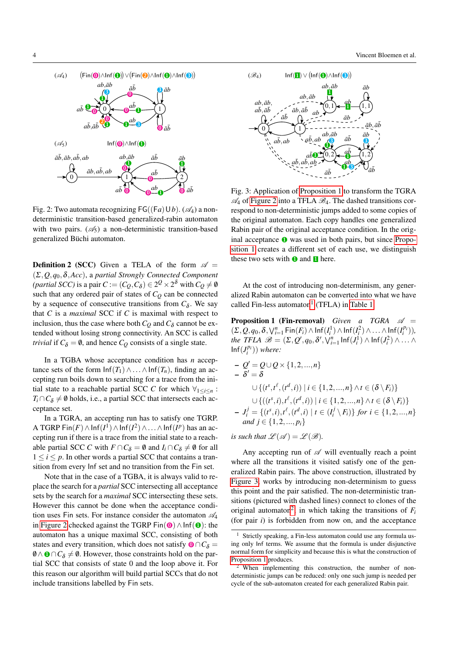<span id="page-3-0"></span>

Fig. 2: Two automata recognizing  $FG((Fa) \cup b)$ . ( $\mathcal{A}_4$ ) a nondeterministic transition-based generalized-rabin automaton with two pairs.  $(\mathcal{A}_5)$  a non-deterministic transition-based generalized Büchi automaton.

 $a\bar{b}$ 

 $\bar{a}\bar{b}$ 

0-0

**Definition 2** (SCC) Given a TELA of the form  $\mathscr{A}$  = (Σ,*Q*,*q*0,δ,*Acc*), a *partial Strongly Connected Component*  $(partial \, SCC)$  is a pair  $C := (C_Q, C_\delta) \in 2^Q \times 2^\delta$  with  $C_Q \neq \emptyset$ such that any ordered pair of states of  $C<sub>O</sub>$  can be connected by a sequence of consecutive transitions from  $C_{\delta}$ . We say that *C* is a *maximal* SCC if *C* is maximal with respect to inclusion, thus the case where both  $C_Q$  and  $C_\delta$  cannot be extended without losing strong connectivity. An SCC is called *trivial* if  $C_{\delta} = \emptyset$ , and hence  $C_Q$  consists of a single state.

In a TGBA whose acceptance condition has *n* acceptance sets of the form  $\text{Inf}(T_1) \wedge \ldots \wedge \text{Inf}(T_n)$ , finding an accepting run boils down to searching for a trace from the initial state to a reachable partial SCC *C* for which  $\forall_{1 \leq i \leq n}$ :  $T_i \cap C_\delta \neq \emptyset$  holds, i.e., a partial SCC that intersects each acceptance set.

In a TGRA, an accepting run has to satisfy one TGRP. A TGRP Fin(*F*) ∧ lnf(*I*<sup>1</sup>) ∧ lnf(*I*<sup>2</sup>) ∧ ... ∧ lnf(*I*<sup>*P*</sup>) has an accepting run if there is a trace from the initial state to a reachable partial SCC *C* with  $F \cap C_{\delta} = \emptyset$  and  $I_i \cap C_{\delta} \neq \emptyset$  for all  $1 \leq i \leq p$ . In other words a partial SCC that contains a transition from every Inf set and no transition from the Fin set.

Note that in the case of a TGBA, it is always valid to replace the search for a *partial* SCC intersecting all acceptance sets by the search for a *maximal* SCC intersecting these sets. However this cannot be done when the acceptance condition uses Fin sets. For instance consider the automaton  $\mathscr{A}_4$ in [Figure 2](#page-3-0) checked against the TGRP Fin( $\textcircled{0}$ ) ∧ lnf( $\textcircled{1}$ ): the automaton has a unique maximal SCC, consisting of both states and every transition, which does not satisfy  $\mathbf{0} \cap C_{\delta} =$  $\emptyset \wedge \mathbf{O} \cap C_{\delta} \neq \emptyset$ . However, those constraints hold on the partial SCC that consists of state 0 and the loop above it. For this reason our algorithm will build partial SCCs that do not include transitions labelled by Fin sets.

<span id="page-3-3"></span>

Fig. 3: Application of [Proposition 1](#page-3-1) to transform the TGRA  $\mathcal{A}_4$  of [Figure 2](#page-3-0) into a TFLA  $\mathcal{B}_4$ . The dashed transitions correspond to non-deterministic jumps added to some copies of the original automaton. Each copy handles one generalized Rabin pair of the original acceptance condition. In the original acceptance  $\bullet$  was used in both pairs, but since [Propo](#page-3-1)[sition 1](#page-3-1) creates a different set of each use, we distinguish these two sets with  $\bullet$  and  $\bullet$  here.

<span id="page-3-1"></span>At the cost of introducing non-determinism, any generalized Rabin automaton can be converted into what we have called Fin-less automaton<sup>[1](#page-3-2)</sup> (TFLA) in [Table 1.](#page-2-0)

**Proposition 1 (Fin-removal)** *Given a TGRA*  $\mathscr{A}$  =  $(\Sigma, Q, q_0, \delta, \sqrt{n_{i=1}^n} \text{Fin}(F_i) \wedge \text{Inf}(I_i^1) \wedge \text{Inf}(I_i^2) \wedge \ldots \wedge \text{Inf}(I_i^{p_i})),$  $the$   $TFLA$   $\mathscr{B} = (\Sigma, Q', q_0, \delta', \bigvee_{i=1}^n \mathsf{Inf}(J_i^1) \wedge \mathsf{Inf}(J_i^2) \wedge \ldots \wedge J_i^1$  $\ln(f_i^{p_i})$  *where:* 

$$
Q' = Q \cup Q \times \{1, 2, ..., n\}
$$
  
\n
$$
- \delta' = \delta
$$
  
\n
$$
\cup \{(t^s, t^{\ell}, (t^d, i)) | i \in \{1, 2, ..., n\} \land t \in (\delta \setminus F_i)\}
$$
  
\n
$$
\cup \{((t^s, i), t^{\ell}, (t^d, i)) | i \in \{1, 2, ..., n\} \land t \in (\delta \setminus F_i)\}
$$
  
\n
$$
- J_i^j = \{(t^s, i), t^{\ell}, (t^d, i) | t \in (I_i^j \setminus F_i)\} \text{ for } i \in \{1, 2, ..., n\}
$$
  
\nand  $j \in \{1, 2, ..., p_i\}$ 

*is such that*  $\mathcal{L}(\mathcal{A}) = \mathcal{L}(\mathcal{B})$ *.* 

Any accepting run of  $\mathscr A$  will eventually reach a point where all the transitions it visited satisfy one of the generalized Rabin pairs. The above construction, illustrated by [Figure 3,](#page-3-3) works by introducing non-determinism to guess this point and the pair satisfied. The non-deterministic transitions (pictured with dashed lines) connect to clones of the original automaton<sup>[2](#page-3-4)</sup>, in which taking the transitions of  $F_i$ (for pair *i*) is forbidden from now on, and the acceptance

<span id="page-3-2"></span>Strictly speaking, a Fin-less automaton could use any formula using only Inf terms. We assume that the formula is under disjunctive normal form for simplicity and because this is what the construction of [Proposition 1](#page-3-1) produces.

<span id="page-3-4"></span>When implementing this construction, the number of nondeterministic jumps can be reduced: only one such jump is needed per cycle of the sub-automaton created for each generalized Rabin pair.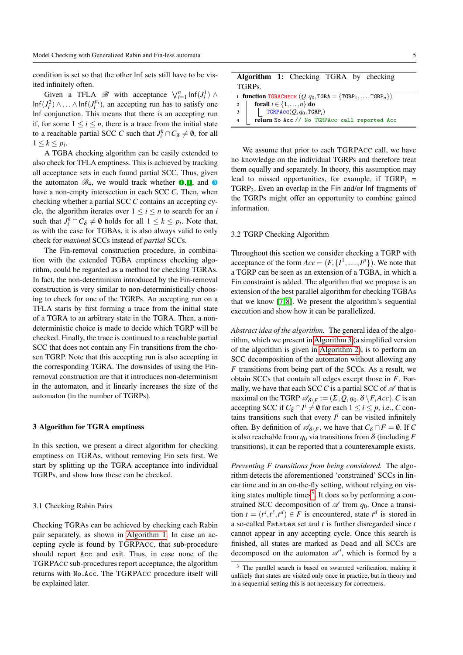condition is set so that the other Inf sets still have to be visited infinitely often.

Given a TFLA  $\mathscr{B}$  with acceptance  $\bigvee_{i=1}^{n} \text{Inf}(J_i^1) \wedge$  $\text{Inf}(J_i^2) \land \ldots \land \text{Inf}(J_i^{p_i})$ , an accepting run has to satisfy one Inf conjunction. This means that there is an accepting run if, for some  $1 \le i \le n$ , there is a trace from the initial state to a reachable partial SCC *C* such that  $J_i^k \cap C_\delta \neq \emptyset$ , for all  $1 \leq k \leq p_i$ .

A TGBA checking algorithm can be easily extended to also check for TFLA emptiness. This is achieved by tracking all acceptance sets in each found partial SCC. Thus, given the automaton  $\mathcal{B}_4$ , we would track whether **0, 1**, and **6** have a non-empty intersection in each SCC *C*. Then, when checking whether a partial SCC *C* contains an accepting cycle, the algorithm iterates over  $1 \le i \le n$  to search for an *i* such that  $J_i^k \cap C_\delta \neq \emptyset$  holds for all  $1 \leq k \leq p_i$ . Note that, as with the case for TGBAs, it is also always valid to only check for *maximal* SCCs instead of *partial* SCCs.

The Fin-removal construction procedure, in combination with the extended TGBA emptiness checking algorithm, could be regarded as a method for checking TGRAs. In fact, the non-determinism introduced by the Fin-removal construction is very similar to non-deterministically choosing to check for one of the TGRPs. An accepting run on a TFLA starts by first forming a trace from the initial state of a TGRA to an arbitrary state in the TGRA. Then, a nondeterministic choice is made to decide which TGRP will be checked. Finally, the trace is continued to a reachable partial SCC that does not contain any Fin transitions from the chosen TGRP. Note that this accepting run is also accepting in the corresponding TGRA. The downsides of using the Finremoval construction are that it introduces non-determinism in the automaton, and it linearly increases the size of the automaton (in the number of TGRPs).

#### <span id="page-4-0"></span>3 Algorithm for TGRA emptiness

In this section, we present a direct algorithm for checking emptiness on TGRAs, without removing Fin sets first. We start by splitting up the TGRA acceptance into individual TGRPs, and show how these can be checked.

## <span id="page-4-3"></span>3.1 Checking Rabin Pairs

Checking TGRAs can be achieved by checking each Rabin pair separately, as shown in [Algorithm 1.](#page-4-1) In case an accepting cycle is found by TGRPACC, that sub-procedure should report Acc and exit. Thus, in case none of the TGRPACC sub-procedures report acceptance, the algorithm returns with No Acc. The TGRPACC procedure itself will be explained later.

<span id="page-4-1"></span>

|                         |                                                                                 |  |  |  |  |  | <b>Algorithm 1:</b> Checking TGRA by checking |  |
|-------------------------|---------------------------------------------------------------------------------|--|--|--|--|--|-----------------------------------------------|--|
|                         | TGRPs.                                                                          |  |  |  |  |  |                                               |  |
|                         | 1 function TGRACHECK $(Q, q_0, \text{TGRA} = {\text{TGRP}_1, , \text{TGRP}_n})$ |  |  |  |  |  |                                               |  |
| $2 \mid$                | <b>forall</b> $i \in \{1, \ldots, n\}$ <b>do</b>                                |  |  |  |  |  |                                               |  |
| $\overline{\mathbf{3}}$ | TGRPACC $(Q, q_0, \text{TGRP}_i)$                                               |  |  |  |  |  |                                               |  |
| 4                       |                                                                                 |  |  |  |  |  | return No_Acc // No TGRPAcc call reported Acc |  |

We assume that prior to each TGRPACC call, we have no knowledge on the individual TGRPs and therefore treat them equally and separately. In theory, this assumption may lead to missed opportunities, for example, if  $TGRP_1$  = TGRP2. Even an overlap in the Fin and/or Inf fragments of the TGRPs might offer an opportunity to combine gained information.

## 3.2 TGRP Checking Algorithm

Throughout this section we consider checking a TGRP with acceptance of the form  $Acc = (F, \{I^1, \ldots, I^p\})$ . We note that a TGRP can be seen as an extension of a TGBA, in which a Fin constraint is added. The algorithm that we propose is an extension of the best parallel algorithm for checking TGBAs that we know [\[7,](#page-16-21) [8\]](#page-16-5). We present the algorithm's sequential execution and show how it can be parallelized.

*Abstract idea of the algorithm.* The general idea of the algorithm, which we present in [Algorithm 3](#page-6-0) (a simplified version of the algorithm is given in [Algorithm 2\)](#page-5-0), is to perform an SCC decomposition of the automaton without allowing any *F* transitions from being part of the SCCs. As a result, we obtain SCCs that contain all edges except those in *F*. Formally, we have that each SCC C is a partial SCC of  $\mathscr A$  that is maximal on the TGRP  $\mathscr{A}_{\delta \backslash F} := (\Sigma, Q, q_0, \delta \backslash F, Acc)$ . *C* is an accepting SCC if  $C_{\delta} \cap I^{i} \neq \emptyset$  for each  $1 \leq i \leq p$ , i.e., *C* contains transitions such that every  $I^i$  can be visited infinitely often. By definition of  $\mathscr{A}_{\delta\setminus F}$ , we have that  $C_{\delta}\cap F = \emptyset$ . If *C* is also reachable from  $q_0$  via transitions from  $\delta$  (including  $F$ transitions), it can be reported that a counterexample exists.

*Preventing F transitions from being considered.* The algorithm detects the aforementioned 'constrained' SCCs in linear time and in an on-the-fly setting, without relying on visiting states multiple times $3$ . It does so by performing a constrained SCC decomposition of  $\mathscr A$  from  $q_0$ . Once a transition  $t = (t^s, t^{\ell}, t^d) \in F$  is encountered, state  $t^d$  is stored in a so-called Fstates set and *t* is further disregarded since *t* cannot appear in any accepting cycle. Once this search is finished, all states are marked as Dead and all SCCs are decomposed on the automaton  $\mathscr{A}'$ , which is formed by a

<span id="page-4-2"></span>The parallel search is based on swarmed verification, making it unlikely that states are visited only once in practice, but in theory and in a sequential setting this is not necessary for correctness.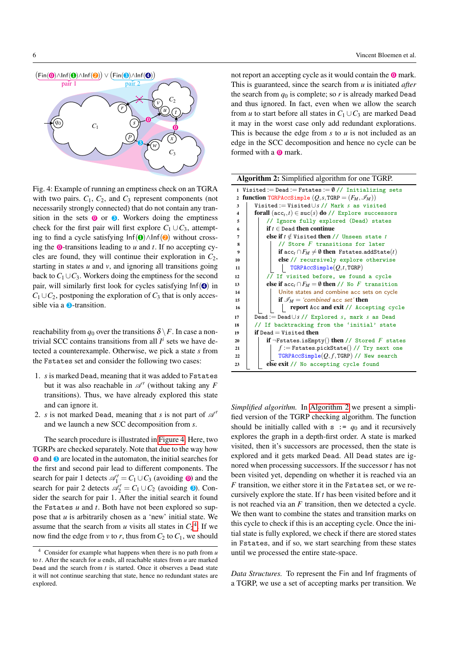<span id="page-5-1"></span>

Fig. 4: Example of running an emptiness check on an TGRA with two pairs.  $C_1$ ,  $C_2$ , and  $C_3$  represent components (not necessarily strongly connected) that do not contain any transition in the sets  $\bullet$  or  $\bullet$ . Workers doing the emptiness check for the first pair will first explore  $C_1 \cup C_3$ , attempting to find a cycle satisfying Inf(1)∧Inf(2) without crossing the  $\Phi$ -transitions leading to *u* and *t*. If no accepting cycles are found, they will continue their exploration in  $C_2$ , starting in states *u* and *v*, and ignoring all transitions going back to  $C_1 \cup C_3$ . Workers doing the emptiness for the second pair, will similarly first look for cycles satisfying Inf(4) in  $C_1 \cup C_2$ , postponing the exploration of  $C_3$  that is only accessible via a  $\bullet$ -transition.

reachability from  $q_0$  over the transitions  $\delta \backslash F$ . In case a nontrivial SCC contains transitions from all  $I^i$  sets we have detected a counterexample. Otherwise, we pick a state *s* from the Fstates set and consider the following two cases:

- 1. *s* is marked Dead, meaning that it was added to Fstates but it was also reachable in  $\mathscr{A}'$  (without taking any *F* transitions). Thus, we have already explored this state and can ignore it.
- 2. *s* is not marked Dead, meaning that *s* is not part of  $\mathscr{A}'$ and we launch a new SCC decomposition from *s*.

The search procedure is illustrated in [Figure 4.](#page-5-1) Here, two TGRPs are checked separately. Note that due to the way how **O** and **3** are located in the automaton, the initial searches for the first and second pair lead to different components. The search for pair 1 detects  $\mathcal{A}'_1 = C_1 \cup C_3$  (avoiding 0) and the search for pair 2 detects  $\mathscr{A}'_2 = C_1 \cup C_2$  (avoiding <sup>3</sup>). Consider the search for pair 1. After the initial search it found the Fstates *u* and *t*. Both have not been explored so suppose that *u* is arbitrarily chosen as a 'new' initial state. We assume that the search from *u* visits all states in  $C_2^4$  $C_2^4$ . If we now find the edge from  $v$  to  $r$ , thus from  $C_2$  to  $C_1$ , we should

not report an accepting cycle as it would contain the  $\mathbf 0$  mark. This is guaranteed, since the search from *u* is initiated *after* the search from  $q_0$  is complete; so  $r$  is already marked Dead and thus ignored. In fact, even when we allow the search from *u* to start before all states in  $C_1 \cup C_3$  are marked Dead it may in the worst case only add redundant explorations. This is because the edge from *s* to *u* is not included as an edge in the SCC decomposition and hence no cycle can be formed with a  $\bf{0}$  mark.

<span id="page-5-0"></span>

*Simplified algorithm.* In [Algorithm 2](#page-5-0) we present a simplified version of the TGRP checking algorithm. The function should be initially called with  $s := q_0$  and it recursively explores the graph in a depth-first order. A state is marked visited, then it's successors are processed, then the state is explored and it gets marked Dead. All Dead states are ignored when processing successors. If the successor *t* has not been visited yet, depending on whether it is reached via an *F* transition, we either store it in the Fstates set, or we recursively explore the state. If *t* has been visited before and it is not reached via an *F* transition, then we detected a cycle. We then want to combine the states and transition marks on this cycle to check if this is an accepting cycle. Once the initial state is fully explored, we check if there are stored states in Fstates, and if so, we start searching from these states until we processed the entire state-space.

*Data Structures.* To represent the Fin and Inf fragments of a TGRP, we use a set of accepting marks per transition. We

<span id="page-5-2"></span><sup>4</sup> Consider for example what happens when there is no path from *u* to *t*. After the search for *u* ends, all reachable states from *u* are marked Dead and the search from *t* is started. Once it observes a Dead state it will not continue searching that state, hence no redundant states are explored.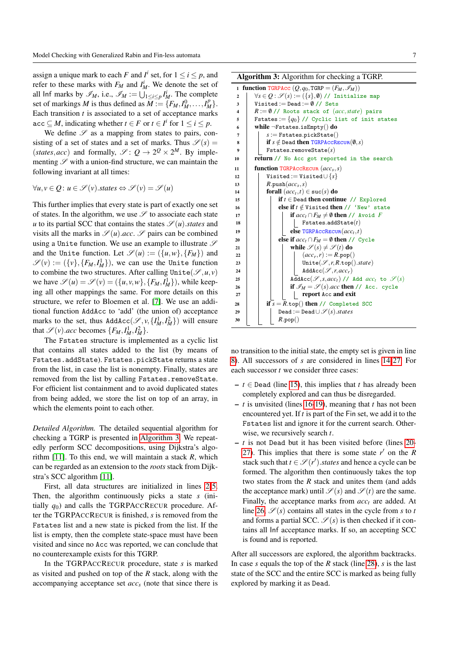assign a unique mark to each *F* and *I<sup>i</sup>* set, for  $1 \le i \le p$ , and refer to these marks with  $F_M$  and  $I_M^i$ . We denote the set of all lnf marks by  $\mathscr{I}_M$ , i.e.,  $\mathscr{I}_M := \bigcup_{1 \leq i \leq p} I_M^i$ . The complete set of markings *M* is thus defined as  $\vec{M} := \{F_M, I_M^0, \ldots, I_M^p\}.$ Each transition  $t$  is associated to a set of acceptance marks acc  $\subseteq M$ , indicating whether  $t \in F$  or  $t \in I^i$  for  $1 \le i \le p$ .

We define  $\mathscr S$  as a mapping from states to pairs, consisting of a set of states and a set of marks. Thus  $\mathscr{S}(s)$  = (*states*,*acc*) and formally,  $\mathscr{S}: Q \to 2^Q \times 2^M$ . By implementing  $S$  with a union-find structure, we can maintain the following invariant at all times:

$$
\forall u, v \in Q \colon u \in \mathcal{S}(v) \text{.} states \Leftrightarrow \mathcal{S}(v) = \mathcal{S}(u)
$$

This further implies that every state is part of exactly one set of states. In the algorithm, we use  $\mathscr S$  to associate each state *u* to its partial SCC that contains the states  $\mathcal{S}(u)$ .*states* and visits all the marks in  $\mathscr{S}(u)$ .*acc*.  $\mathscr{S}$  pairs can be combined using a Unite function. We use an example to illustrate  $\mathscr S$ and the Unite function. Let  $\mathscr{S}(u) := (\{u, w\}, \{F_M\})$  and  $\mathscr{S}(v) := (\{v\}, \{F_M, I_M^1\}),$  we can use the Unite function to combine the two structures. After calling  $Unite(\mathcal{S}, u, v)$ we have  $\mathscr{S}(u) = \mathscr{S}(v) = (\{u, v, w\}, \{F_M, I_M^1\})$ , while keeping all other mappings the same. For more details on this structure, we refer to Bloemen et al. [\[7\]](#page-16-21). We use an additional function AddAcc to 'add' (the union of) acceptance marks to the set, thus  $AddAcc(\mathcal{S}, v, \{I_M^1, I_M^2\})$  will ensure that  $\mathcal{S}(v)$  *acc* becomes  $\{F_M, I_M^1, I_M^2\}$ .

The Fstates structure is implemented as a cyclic list that contains all states added to the list (by means of Fstates.addState). Fstates.pickState returns a state from the list, in case the list is nonempty. Finally, states are removed from the list by calling Fstates.removeState. For efficient list containment and to avoid duplicated states from being added, we store the list on top of an array, in which the elements point to each other.

*Detailed Algorithm.* The detailed sequential algorithm for checking a TGRP is presented in [Algorithm 3.](#page-6-0) We repeatedly perform SCC decompositions, using Dijkstra's algorithm [\[11\]](#page-16-22). To this end, we will maintain a stack *R*, which can be regarded as an extension to the *roots* stack from Dijkstra's SCC algorithm [\[11\]](#page-16-22).

First, all data structures are initialized in lines [2](#page-6-1)[-5.](#page-6-2) Then, the algorithm continuously picks a state *s* (initially *q*0) and calls the TGRPACCRECUR procedure. After the TGRPACCRECUR is finished, *s* is removed from the Fstates list and a new state is picked from the list. If the list is empty, then the complete state-space must have been visited and since no Acc was reported, we can conclude that no counterexample exists for this TGRP.

In the TGRPACCRECUR procedure, state *s* is marked as visited and pushed on top of the *R* stack, along with the accompanying acceptance set *acc<sup>s</sup>* (note that since there is

<span id="page-6-1"></span><span id="page-6-0"></span>Algorithm 3: Algorithm for checking a TGRP.

<span id="page-6-13"></span><span id="page-6-12"></span><span id="page-6-7"></span><span id="page-6-6"></span><span id="page-6-4"></span><span id="page-6-3"></span><span id="page-6-2"></span>

<span id="page-6-11"></span><span id="page-6-10"></span><span id="page-6-9"></span><span id="page-6-8"></span><span id="page-6-5"></span>no transition to the initial state, the empty set is given in line [8\)](#page-6-3). All successors of *s* are considered in lines [14](#page-6-4)[-27.](#page-6-5) For each successor *t* we consider three cases:

- *t* ∈ Dead (line [15\)](#page-6-6), this implies that *t* has already been completely explored and can thus be disregarded.
- *t* is unvisited (lines [16-](#page-6-7)[19\)](#page-6-8), meaning that *t* has not been encountered yet. If *t* is part of the Fin set, we add it to the Fstates list and ignore it for the current search. Otherwise, we recursively search *t*.
- *t* is not Dead but it has been visited before (lines [20-](#page-6-9) [27\)](#page-6-5). This implies that there is some state  $r'$  on the  $R$ stack such that  $t \in \mathcal{S}(r')$ .*states* and hence a cycle can be formed. The algorithm then continuously takes the top two states from the *R* stack and unites them (and adds the acceptance mark) until  $\mathscr{S}(s)$  and  $\mathscr{S}(t)$  are the same. Finally, the acceptance marks from *acc<sup>t</sup>* are added. At line [26,](#page-6-10)  $\mathscr{S}(s)$  contains all states in the cycle from *s* to *t* and forms a partial SCC.  $\mathcal{S}(s)$  is then checked if it contains all Inf acceptance marks. If so, an accepting SCC is found and is reported.

After all successors are explored, the algorithm backtracks. In case *s* equals the top of the *R* stack (line [28\)](#page-6-11), *s* is the last state of the SCC and the entire SCC is marked as being fully explored by marking it as Dead.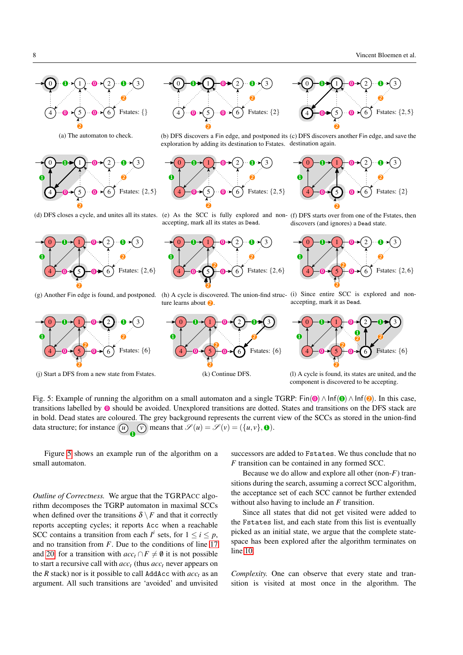<span id="page-7-0"></span>

(a) The automaton to check.



 $0$  )  $\rightarrow$   $(1)$   $\rightarrow$   $(2)$   $\rightarrow$   $(3)$ 4 ) 0  $\rightarrow$  ( 5 ) 0  $\rightarrow$  ( 6  $0\blacktriangleright$ (1)  $\!\!-\!\!0\blacktriangleright$ (2) $\!\!-\!\!0$ 2  $\mathbf{0}$  -(5)  $\mathbf{0}$ 2 Fstates: {2}  $0$  )  $\rightarrow$  0  $\rightarrow$  ( 1 )  $\rightarrow$  0  $\rightarrow$  ( 2 )  $\cdot$  0  $\rightarrow$  ( 3 4  $\rightarrow$  0  $\rightarrow$  (5 ) 0 (6  $\rightarrow$  (  $1$  )  $\rightarrow$  0  $\rightarrow$  (  $2$  )  $\cdot$  0 2  $\mathbf{0}$   $\blacktriangleright$  (  $5$  )  $\blacksquare$ 2 Fstates: {2,5}

(b) DFS discovers a Fin edge, and postponed its (c) DFS discovers another Fin edge, and save the exploration by adding its destination to Fstates. destination again.



(d) DFS closes a cycle, and unites all its states. (e) As the SCC is fully explored and non-(f) DFS starts over from one of the Fstates, then accepting, mark all its states as Dead.



(g) Another Fin edge is found, and postponed.



(j) Start a DFS from a new state from Fstates.



ture learns about 2.



(k) Continue DFS.

discovers (and ignores) a Dead state.  $0\rightarrow 1$  )  $-0\rightarrow 2$  )  $-0$ 



(h) A cycle is discovered. The union-find struc-(i) Since entire SCC is explored and nonaccepting, mark it as Dead.



(l) A cycle is found, its states are united, and the component is discovered to be accepting.

Fig. 5: Example of running the algorithm on a small automaton and a single TGRP: Fin( $\textcircled{0} \wedge \text{Inf}(\textcircled{2}) \wedge \text{Inf}(\textcircled{3})$ . In this case, transitions labelled by <sup>0</sup> should be avoided. Unexplored transitions are dotted. States and transitions on the DFS stack are in bold. Dead states are coloured. The grey background represents the current view of the SCCs as stored in the union-find data structure; for instance  $\omega$   $\Omega$  means that  $\mathscr{S}(u) = \mathscr{S}(v) = (\{u, v\}, \mathbf{0}).$ 

Figure [5](#page-7-0) shows an example run of the algorithm on a small automaton.

*Outline of Correctness.* We argue that the TGRPACC algorithm decomposes the TGRP automaton in maximal SCCs when defined over the transitions  $\delta \setminus F$  and that it correctly reports accepting cycles; it reports Acc when a reachable SCC contains a transition from each  $I^i$  sets, for  $1 \le i \le p$ , and no transition from *F*. Due to the conditions of line [17](#page-6-12) and [20,](#page-6-9) for a transition with  $acc_t \cap F \neq \emptyset$  it is not possible to start a recursive call with *acc<sup>t</sup>* (thus *acc<sup>t</sup>* never appears on the *R* stack) nor is it possible to call AddAcc with  $acc<sub>t</sub>$  as an argument. All such transitions are 'avoided' and unvisited

successors are added to Fstates. We thus conclude that no *F* transition can be contained in any formed SCC.

Because we do allow and explore all other (non-*F*) transitions during the search, assuming a correct SCC algorithm, the acceptance set of each SCC cannot be further extended without also having to include an *F* transition.

Since all states that did not get visited were added to the Fstates list, and each state from this list is eventually picked as an initial state, we argue that the complete statespace has been explored after the algorithm terminates on line [10.](#page-6-13)

*Complexity.* One can observe that every state and transition is visited at most once in the algorithm. The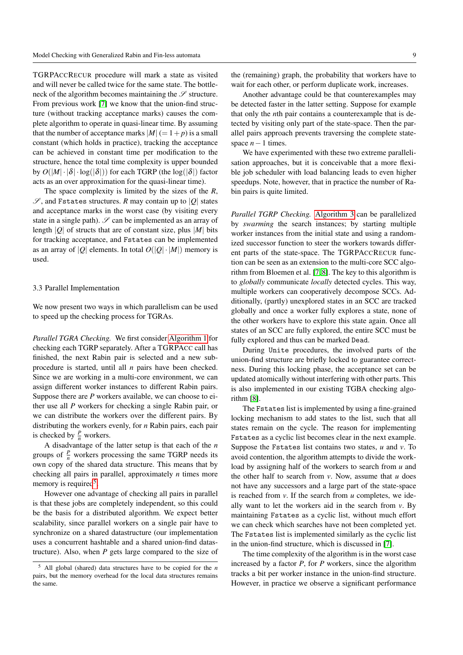TGRPACCRECUR procedure will mark a state as visited and will never be called twice for the same state. The bottleneck of the algorithm becomes maintaining the  $\mathscr S$  structure. From previous work [\[7\]](#page-16-21) we know that the union-find structure (without tracking acceptance marks) causes the complete algorithm to operate in quasi-linear time. By assuming that the number of acceptance marks  $|M| (= 1 + p)$  is a small constant (which holds in practice), tracking the acceptance can be achieved in constant time per modification to the structure, hence the total time complexity is upper bounded by  $O(|M| \cdot |\delta| \cdot \log(|\delta|))$  for each TGRP (the  $\log(|\delta|)$  factor acts as an over approximation for the quasi-linear time).

The space complexity is limited by the sizes of the *R*,  $\mathscr{S}$ , and Fstates structures. *R* may contain up to |*O*| states and acceptance marks in the worst case (by visiting every state in a single path).  $\mathscr S$  can be implemented as an array of length  $|Q|$  of structs that are of constant size, plus  $|M|$  bits for tracking acceptance, and Fstates can be implemented as an array of  $|Q|$  elements. In total  $O(|Q| \cdot |M|)$  memory is used.

## 3.3 Parallel Implementation

We now present two ways in which parallelism can be used to speed up the checking process for TGRAs.

*Parallel TGRA Checking.* We first consider [Algorithm 1](#page-4-1) for checking each TGRP separately. After a TGRPACC call has finished, the next Rabin pair is selected and a new subprocedure is started, until all *n* pairs have been checked. Since we are working in a multi-core environment, we can assign different worker instances to different Rabin pairs. Suppose there are *P* workers available, we can choose to either use all *P* workers for checking a single Rabin pair, or we can distribute the workers over the different pairs. By distributing the workers evenly, for *n* Rabin pairs, each pair is checked by  $\frac{p}{n}$  workers.

A disadvantage of the latter setup is that each of the *n* groups of  $\frac{p}{n}$  workers processing the same TGRP needs its own copy of the shared data structure. This means that by checking all pairs in parallel, approximately *n* times more memory is required<sup>[5](#page-8-0)</sup>.

However one advantage of checking all pairs in parallel is that these jobs are completely independent, so this could be the basis for a distributed algorithm. We expect better scalability, since parallel workers on a single pair have to synchronize on a shared datastructure (our implementation uses a concurrent hashtable and a shared union-find datastructure). Also, when *P* gets large compared to the size of the (remaining) graph, the probability that workers have to wait for each other, or perform duplicate work, increases.

Another advantage could be that counterexamples may be detected faster in the latter setting. Suppose for example that only the *n*th pair contains a counterexample that is detected by visiting only part of the state-space. Then the parallel pairs approach prevents traversing the complete statespace  $n-1$  times.

We have experimented with these two extreme parallelisation approaches, but it is conceivable that a more flexible job scheduler with load balancing leads to even higher speedups. Note, however, that in practice the number of Rabin pairs is quite limited.

*Parallel TGRP Checking.* [Algorithm 3](#page-6-0) can be parallelized by *swarming* the search instances; by starting multiple worker instances from the initial state and using a randomized successor function to steer the workers towards different parts of the state-space. The TGRPACCRECUR function can be seen as an extension to the multi-core SCC algorithm from Bloemen et al. [\[7,](#page-16-21) [8\]](#page-16-5). The key to this algorithm is to *globally* communicate *locally* detected cycles. This way, multiple workers can cooperatively decompose SCCs. Additionally, (partly) unexplored states in an SCC are tracked globally and once a worker fully explores a state, none of the other workers have to explore this state again. Once all states of an SCC are fully explored, the entire SCC must be fully explored and thus can be marked Dead.

During Unite procedures, the involved parts of the union-find structure are briefly locked to guarantee correctness. During this locking phase, the acceptance set can be updated atomically without interfering with other parts. This is also implemented in our existing TGBA checking algorithm [\[8\]](#page-16-5).

The Fstates list is implemented by using a fine-grained locking mechanism to add states to the list, such that all states remain on the cycle. The reason for implementing Fstates as a cyclic list becomes clear in the next example. Suppose the Fstates list contains two states, *u* and *v*. To avoid contention, the algorithm attempts to divide the workload by assigning half of the workers to search from *u* and the other half to search from *v*. Now, assume that *u* does not have any successors and a large part of the state-space is reached from *v*. If the search from *u* completes, we ideally want to let the workers aid in the search from *v*. By maintaining Fstates as a cyclic list, without much effort we can check which searches have not been completed yet. The Fstates list is implemented similarly as the cyclic list in the union-find structure, which is discussed in [\[7\]](#page-16-21).

The time complexity of the algorithm is in the worst case increased by a factor *P*, for *P* workers, since the algorithm tracks a bit per worker instance in the union-find structure. However, in practice we observe a significant performance

<span id="page-8-0"></span><sup>5</sup> All global (shared) data structures have to be copied for the *n* pairs, but the memory overhead for the local data structures remains the same.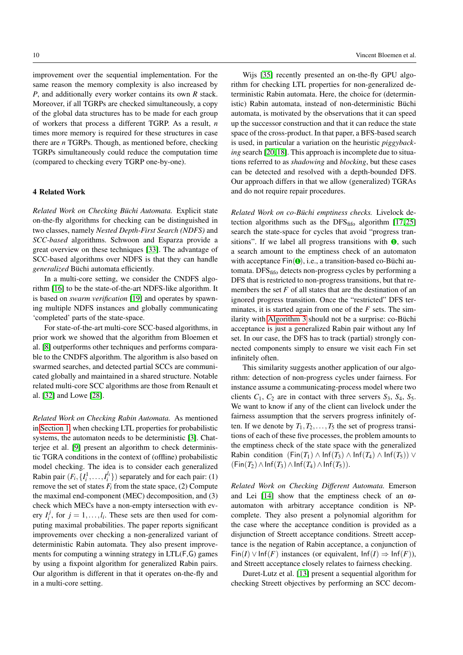improvement over the sequential implementation. For the same reason the memory complexity is also increased by *P*, and additionally every worker contains its own *R* stack. Moreover, if all TGRPs are checked simultaneously, a copy of the global data structures has to be made for each group of workers that process a different TGRP. As a result, *n* times more memory is required for these structures in case there are *n* TGRPs. Though, as mentioned before, checking TGRPs simultaneously could reduce the computation time (compared to checking every TGRP one-by-one).

## <span id="page-9-0"></span>4 Related Work

*Related Work on Checking Büchi Automata.* Explicit state on-the-fly algorithms for checking can be distinguished in two classes, namely *Nested Depth-First Search (NDFS)* and *SCC-based* algorithms. Schwoon and Esparza provide a great overview on these techniques [\[33\]](#page-16-1). The advantage of SCC-based algorithms over NDFS is that they can handle *generalized* Büchi automata efficiently.

In a multi-core setting, we consider the CNDFS algorithm [\[16\]](#page-16-3) to be the state-of-the-art NDFS-like algorithm. It is based on *swarm verification* [\[19\]](#page-16-23) and operates by spawning multiple NDFS instances and globally communicating 'completed' parts of the state-space.

For state-of-the-art multi-core SCC-based algorithms, in prior work we showed that the algorithm from Bloemen et al. [\[8\]](#page-16-5) outperforms other techniques and performs comparable to the CNDFS algorithm. The algorithm is also based on swarmed searches, and detected partial SCCs are communicated globally and maintained in a shared structure. Notable related multi-core SCC algorithms are those from Renault et al. [\[32\]](#page-16-4) and Lowe [\[28\]](#page-16-24).

*Related Work on Checking Rabin Automata.* As mentioned in [Section 1,](#page-0-0) when checking LTL properties for probabilistic systems, the automaton needs to be deterministic [\[3\]](#page-16-7). Chatterjee et al. [\[9\]](#page-16-8) present an algorithm to check deterministic TGRA conditions in the context of (offline) probabilistic model checking. The idea is to consider each generalized Rabin pair  $(F_i, \{I_i^1, \ldots, I_i^{l_i}\})$  separately and for each pair: (1) remove the set of states  $F_i$  from the state space, (2) Compute the maximal end-component (MEC) decomposition, and (3) check which MECs have a non-empty intersection with every  $I_i^j$ , for  $j = 1, ..., l_i$ . These sets are then used for computing maximal probabilities. The paper reports significant improvements over checking a non-generalized variant of deterministic Rabin automata. They also present improvements for computing a winning strategy in LTL(F,G) games by using a fixpoint algorithm for generalized Rabin pairs. Our algorithm is different in that it operates on-the-fly and in a multi-core setting.

Wijs [\[35\]](#page-16-13) recently presented an on-the-fly GPU algorithm for checking LTL properties for non-generalized deterministic Rabin automata. Here, the choice for (deterministic) Rabin automata, instead of non-deterministic Büchi automata, is motivated by the observations that it can speed up the successor construction and that it can reduce the state space of the cross-product. In that paper, a BFS-based search is used, in particular a variation on the heuristic *piggybacking* search [\[20,](#page-16-2) [18\]](#page-16-25). This approach is incomplete due to situations referred to as *shadowing* and *blocking*, but these cases can be detected and resolved with a depth-bounded DFS. Our approach differs in that we allow (generalized) TGRAs and do not require repair procedures.

*Related Work on co-Büchi emptiness checks.* Livelock detection algorithms such as the DFS $_{\text{fifo}}$  algorithm [\[17,](#page-16-26)25] search the state-space for cycles that avoid "progress transitions". If we label all progress transitions with  $\bullet$ , such a search amount to the emptiness check of an automaton with acceptance  $Fin(\bullet)$ , i.e., a transition-based co-Büchi automata. DFS<sub>fifo</sub> detects non-progress cycles by performing a DFS that is restricted to non-progress transitions, but that remembers the set  $F$  of all states that are the destination of an ignored progress transition. Once the "restricted" DFS terminates, it is started again from one of the *F* sets. The sim-ilarity with [Algorithm 3](#page-6-0) should not be a surprise: co-Büchi acceptance is just a generalized Rabin pair without any Inf set. In our case, the DFS has to track (partial) strongly connected components simply to ensure we visit each Fin set infinitely often.

This similarity suggests another application of our algorithm: detection of non-progress cycles under fairness. For instance assume a communicating-process model where two clients  $C_1$ ,  $C_2$  are in contact with three servers  $S_3$ ,  $S_4$ ,  $S_5$ . We want to know if any of the client can livelock under the fairness assumption that the servers progress infinitely often. If we denote by  $T_1, T_2, \ldots, T_5$  the set of progress transitions of each of these five processes, the problem amounts to the emptiness check of the state space with the generalized Rabin condition (Fin(*T*<sub>1</sub>)  $\wedge$  Inf(*T*<sub>3</sub>)  $\wedge$  Inf(*T*<sub>4</sub>)  $\wedge$  Inf(*T*<sub>5</sub>))  $\vee$ (Fin(*T*2)∧Inf(*T*3)∧Inf(*T*4)∧Inf(*T*5)).

*Related Work on Checking Different Automata.* Emerson and Lei [\[14\]](#page-16-20) show that the emptiness check of an  $\omega$ automaton with arbitrary acceptance condition is NPcomplete. They also present a polynomial algorithm for the case where the acceptance condition is provided as a disjunction of Streett acceptance conditions. Streett acceptance is the negation of Rabin acceptance, a conjunction of Fin(*I*) ∨ Inf(*F*) instances (or equivalent, Inf(*I*)  $\Rightarrow$  Inf(*F*)), and Streett acceptance closely relates to fairness checking.

Duret-Lutz et al. [\[13\]](#page-16-28) present a sequential algorithm for checking Streett objectives by performing an SCC decom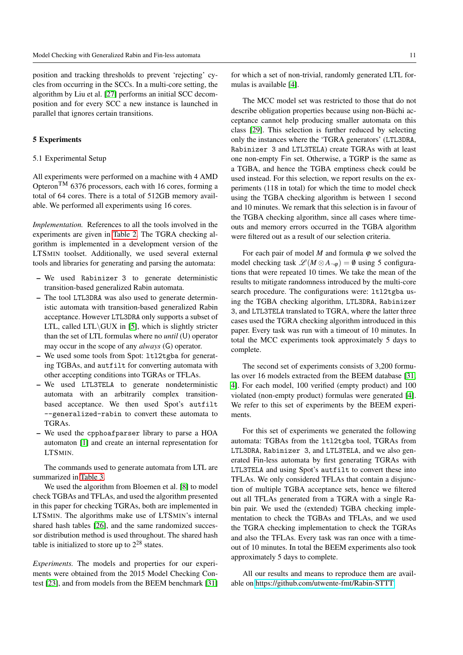position and tracking thresholds to prevent 'rejecting' cycles from occurring in the SCCs. In a multi-core setting, the algorithm by Liu et al. [\[27\]](#page-16-29) performs an initial SCC decomposition and for every SCC a new instance is launched in parallel that ignores certain transitions.

## <span id="page-10-0"></span>5 Experiments

### 5.1 Experimental Setup

All experiments were performed on a machine with 4 AMD Opteron<sup>TM</sup> 6376 processors, each with 16 cores, forming a total of 64 cores. There is a total of 512GB memory available. We performed all experiments using 16 cores.

*Implementation.* References to all the tools involved in the experiments are given in [Table 2.](#page-11-0) The TGRA checking algorithm is implemented in a development version of the LTSMIN toolset. Additionally, we used several external tools and libraries for generating and parsing the automata:

- We used Rabinizer 3 to generate deterministic transition-based generalized Rabin automata.
- The tool LTL3DRA was also used to generate deterministic automata with transition-based generalized Rabin acceptance. However LTL3DRA only supports a subset of LTL, called LTL $\GUX$  in [\[5\]](#page-16-30), which is slightly stricter than the set of LTL formulas where no *until* (U) operator may occur in the scope of any *always* (G) operator.
- We used some tools from Spot: ltl2tgba for generating TGBAs, and autfilt for converting automata with other accepting conditions into TGRAs or TFLAs.
- We used LTL3TELA to generate nondeterministic automata with an arbitrarily complex transitionbased acceptance. We then used Spot's autfilt --generalized-rabin to convert these automata to TGRAs.
- We used the cpphoafparser library to parse a HOA automaton [\[1\]](#page-15-0) and create an internal representation for LTSMIN.

The commands used to generate automata from LTL are summarized in [Table 3.](#page-11-1)

We used the algorithm from Bloemen et al. [\[8\]](#page-16-5) to model check TGBAs and TFLAs, and used the algorithm presented in this paper for checking TGRAs, both are implemented in LTSMIN. The algorithms make use of LTSMIN's internal shared hash tables [\[26\]](#page-16-31), and the same randomized successor distribution method is used throughout. The shared hash table is initialized to store up to  $2^{28}$  states.

*Experiments.* The models and properties for our experiments were obtained from the 2015 Model Checking Contest [\[23\]](#page-16-32), and from models from the BEEM benchmark [\[31\]](#page-16-18) for which a set of non-trivial, randomly generated LTL formulas is available [\[4\]](#page-16-19).

The MCC model set was restricted to those that do not describe obligation properties because using non-Büchi acceptance cannot help producing smaller automata on this class [\[29\]](#page-16-33). This selection is further reduced by selecting only the instances where the 'TGRA generators' (LTL3DRA, Rabinizer 3 and LTL3TELA) create TGRAs with at least one non-empty Fin set. Otherwise, a TGRP is the same as a TGBA, and hence the TGBA emptiness check could be used instead. For this selection, we report results on the experiments (118 in total) for which the time to model check using the TGBA checking algorithm is between 1 second and 10 minutes. We remark that this selection is in favour of the TGBA checking algorithm, since all cases where timeouts and memory errors occurred in the TGBA algorithm were filtered out as a result of our selection criteria.

For each pair of model  $M$  and formula  $\varphi$  we solved the model checking task  $\mathscr{L}(M \otimes A_{\neg \varphi}) = \emptyset$  using 5 configurations that were repeated 10 times. We take the mean of the results to mitigate randomness introduced by the multi-core search procedure. The configurations were: ltl2tgba using the TGBA checking algorithm, LTL3DRA, Rabinizer 3, and LTL3TELA translated to TGRA, where the latter three cases used the TGRA checking algorithm introduced in this paper. Every task was run with a timeout of 10 minutes. In total the MCC experiments took approximately 5 days to complete.

The second set of experiments consists of 3,200 formulas over 16 models extracted from the BEEM database [\[31,](#page-16-18) [4\]](#page-16-19). For each model, 100 verified (empty product) and 100 violated (non-empty product) formulas were generated [\[4\]](#page-16-19). We refer to this set of experiments by the BEEM experiments.

For this set of experiments we generated the following automata: TGBAs from the ltl2tgba tool, TGRAs from LTL3DRA, Rabinizer 3, and LTL3TELA, and we also generated Fin-less automata by first generating TGRAs with LTL3TELA and using Spot's autfilt to convert these into TFLAs. We only considered TFLAs that contain a disjunction of multiple TGBA acceptance sets, hence we filtered out all TFLAs generated from a TGRA with a single Rabin pair. We used the (extended) TGBA checking implementation to check the TGBAs and TFLAs, and we used the TGRA checking implementation to check the TGRAs and also the TFLAs. Every task was ran once with a timeout of 10 minutes. In total the BEEM experiments also took approximately 5 days to complete.

All our results and means to reproduce them are available on [https://github.com/utwente-fmt/Rabin-STTT.](https://github.com/utwente-fmt/Rabin-STTT)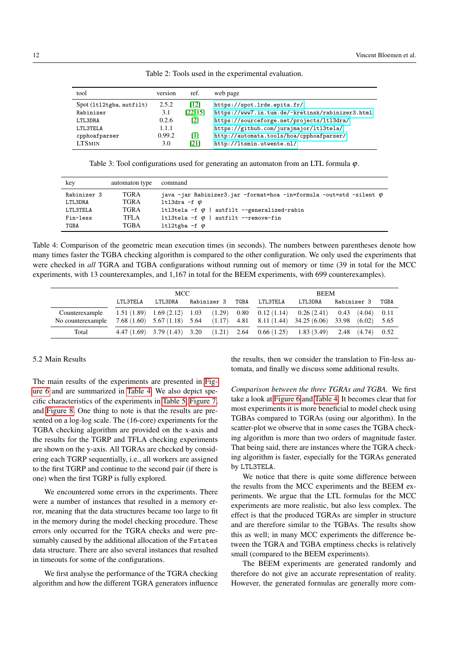<span id="page-11-0"></span>

| tool                     | version | ref.              | web page                                         |
|--------------------------|---------|-------------------|--------------------------------------------------|
| Spot (1t12tgba, autfilt) | 2.5.2   | [12]              | https://spot.lrde.epita.fr/                      |
| Rabinizer                | 3.1     | [22, 15]          | https://www7.in.tum.de/~kretinsk/rabinizer3.html |
| LTL3DRA                  | 0.2.6   | $\lceil 2 \rceil$ | https://sourceforge.net/projects/ltl3dra/        |
| LTL3TELA                 | 1.1.1   |                   | https://github.com/jurajmajor/ltl3tela/          |
| cpphoafparser            | 0.99.2  | [1]               | http://automata.tools/hoa/cpphoafparser/         |
| <b>LTSMIN</b>            | 3.0     | [21]              | http://ltsmin.utwente.nl/                        |

Table 2: Tools used in the experimental evaluation.

Table 3: Tool configurations used for generating an automaton from an LTL formula  $\varphi$ .

<span id="page-11-1"></span>

| key         | automaton type | command                                                                     |
|-------------|----------------|-----------------------------------------------------------------------------|
| Rabinizer 3 | TGRA           | java -jar Rabinizer3.jar -format=hoa -in=formula -out=std -silent $\varphi$ |
| LTL3DRA     | TGRA           | 1tl3dra -f $\varphi$                                                        |
| LTL3TELA    | TGRA           | 1t13tela -f $\varphi$   autfilt --generalized-rabin                         |
| Fin-less    | TFLA           | 1t13tela -f $\varphi$   autfilt --remove-fin                                |
| TGBA        | <b>TGBA</b>    | 1t12tgba -f $\varphi$                                                       |

<span id="page-11-2"></span>Table 4: Comparison of the geometric mean execution times (in seconds). The numbers between parentheses denote how many times faster the TGBA checking algorithm is compared to the other configuration. We only used the experiments that were checked in *all* TGRA and TGBA configurations without running out of memory or time (39 in total for the MCC experiments, with 13 counterexamples, and 1,167 in total for the BEEM experiments, with 699 counterexamples).

|                                     |          | MCC.    |  | <b>BEEM</b> |      |          |                                                                                                                                                                                  |             |  |      |
|-------------------------------------|----------|---------|--|-------------|------|----------|----------------------------------------------------------------------------------------------------------------------------------------------------------------------------------|-------------|--|------|
|                                     | LTL3TELA | LTL3DRA |  | Rabinizer 3 | TGBA | LTL3TELA | LTL3DRA                                                                                                                                                                          | Rabinizer 3 |  | TGBA |
| Counterexample<br>No counterexample |          |         |  |             |      |          | $1.51(1.89)$ $1.69(2.12)$ $1.03$ $(1.29)$ $0.80$ $0.12(1.14)$ $0.26(2.41)$ $0.43(4.04)$ $0.11$<br>7.68 (1.60) 5.67 (1.18) 5.64 (1.17) 4.81 8.11 (1.44) 34.25 (6.06) 33.98 (6.02) |             |  | 5.65 |
| Total                               |          |         |  |             |      |          | 4.47 (1.69) 3.79 (1.43) 3.20 (1.21) 2.64 0.66 (1.25) 1.83 (3.49) 2.48 (4.74) 0.52                                                                                                |             |  |      |

## 5.2 Main Results

The main results of the experiments are presented in [Fig](#page-12-0)[ure 6](#page-12-0) and are summarized in [Table 4.](#page-11-2) We also depict specific characteristics of the experiments in [Table 5,](#page-12-1) [Figure 7,](#page-13-0) and [Figure 8.](#page-14-0) One thing to note is that the results are presented on a log-log scale. The (16-core) experiments for the TGBA checking algorithm are provided on the x-axis and the results for the TGRP and TFLA checking experiments are shown on the y-axis. All TGRAs are checked by considering each TGRP sequentially, i.e., all workers are assigned to the first TGRP and continue to the second pair (if there is one) when the first TGRP is fully explored.

We encountered some errors in the experiments. There were a number of instances that resulted in a memory error, meaning that the data structures became too large to fit in the memory during the model checking procedure. These errors only occurred for the TGRA checks and were presumably caused by the additional allocation of the Fstates data structure. There are also several instances that resulted in timeouts for some of the configurations.

We first analyse the performance of the TGRA checking algorithm and how the different TGRA generators influence

the results, then we consider the translation to Fin-less automata, and finally we discuss some additional results.

*Comparison between the three TGRAs and TGBA.* We first take a look at [Figure 6](#page-12-0) and [Table 4.](#page-11-2) It becomes clear that for most experiments it is more beneficial to model check using TGBAs compared to TGRAs (using our algorithm). In the scatter-plot we observe that in some cases the TGBA checking algorithm is more than two orders of magnitude faster. That being said, there are instances where the TGRA checking algorithm is faster, especially for the TGRAs generated by LTL3TELA.

We notice that there is quite some difference between the results from the MCC experiments and the BEEM experiments. We argue that the LTL formulas for the MCC experiments are more realistic, but also less complex. The effect is that the produced TGRAs are simpler in structure and are therefore similar to the TGBAs. The results show this as well; in many MCC experiments the difference between the TGRA and TGBA emptiness checks is relatively small (compared to the BEEM experiments).

The BEEM experiments are generated randomly and therefore do not give an accurate representation of reality. However, the generated formulas are generally more com-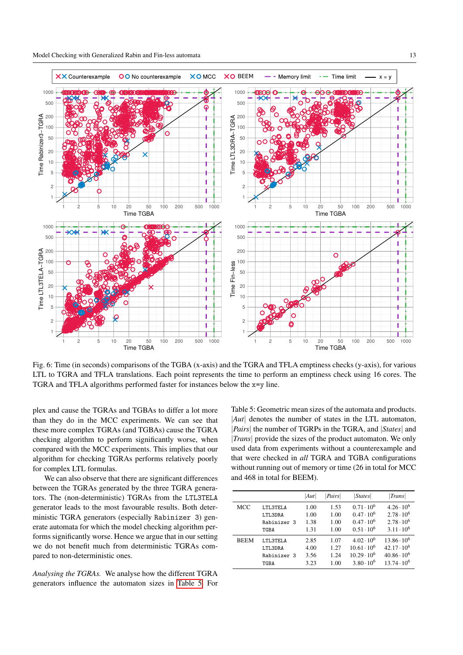<span id="page-12-0"></span>

Fig. 6: Time (in seconds) comparisons of the TGBA (x-axis) and the TGRA and TFLA emptiness checks (y-axis), for various LTL to TGRA and TFLA translations. Each point represents the time to perform an emptiness check using 16 cores. The TGRA and TFLA algorithms performed faster for instances below the x=y line.

plex and cause the TGRAs and TGBAs to differ a lot more than they do in the MCC experiments. We can see that these more complex TGRAs (and TGBAs) cause the TGRA checking algorithm to perform significantly worse, when compared with the MCC experiments. This implies that our algorithm for checking TGRAs performs relatively poorly for complex LTL formulas.

We can also observe that there are significant differences between the TGRAs generated by the three TGRA generators. The (non-deterministic) TGRAs from the LTL3TELA generator leads to the most favourable results. Both deterministic TGRA generators (especially Rabinizer 3) generate automata for which the model checking algorithm performs significantly worse. Hence we argue that in our setting we do not benefit much from deterministic TGRAs compared to non-deterministic ones.

*Analysing the TGRAs.* We analyse how the different TGRA generators influence the automaton sizes in [Table 5.](#page-12-1) For <span id="page-12-1"></span>Table 5: Geometric mean sizes of the automata and products. |*Aut*| denotes the number of states in the LTL automaton, |*Pairs*| the number of TGRPs in the TGRA, and |*States*| and |*Trans*| provide the sizes of the product automaton. We only used data from experiments without a counterexample and that were checked in *all* TGRA and TGBA configurations without running out of memory or time (26 in total for MCC and 468 in total for BEEM).

|             |             | Aut  | Pairs | <i>States</i>        | Trans                |
|-------------|-------------|------|-------|----------------------|----------------------|
| MCC         | LTL3TELA    | 1.00 | 1.53  | $0.71 \cdot 10^6$    | $4.26 \cdot 10^6$    |
|             | LTL3DRA     | 1.00 | 1.00  | $0.47 \cdot 10^6$    | $2.78 \cdot 10^{6}$  |
|             | Rabinizer 3 | 1.38 | 1.00  | $0.47 \cdot 10^6$    | $2.78 \cdot 10^6$    |
|             | TGBA        | 1.31 | 1.00  | $0.51 \cdot 10^{6}$  | $3.11 \cdot 10^{6}$  |
| <b>BEEM</b> | LTL3TELA    | 2.85 | 1.07  | $4.02 \cdot 10^{6}$  | $13.86 \cdot 10^6$   |
|             | LTL3DRA     | 4.00 | 1.27  | $10.61 \cdot 10^{6}$ | $42.17 \cdot 10^6$   |
|             | Rabinizer 3 | 3.56 | 1.24  | $10.29 \cdot 10^6$   | $40.86 \cdot 10^{6}$ |
|             | TGBA        | 3.23 | 1.00  | $3.80 \cdot 10^{6}$  | $13.74 \cdot 10^{6}$ |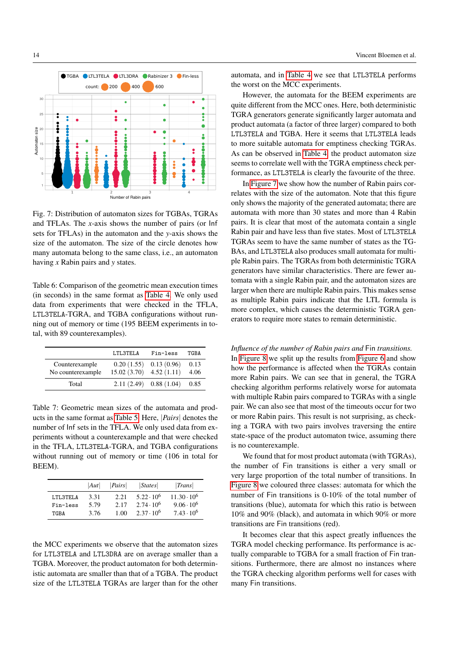<span id="page-13-0"></span>

Fig. 7: Distribution of automaton sizes for TGBAs, TGRAs and TFLAs. The *x*-axis shows the number of pairs (or Inf sets for TFLAs) in the automaton and the *y*-axis shows the size of the automaton. The size of the circle denotes how many automata belong to the same class, i.e., an automaton having *x* Rabin pairs and *y* states.

<span id="page-13-1"></span>Table 6: Comparison of the geometric mean execution times (in seconds) in the same format as [Table 4.](#page-11-2) We only used data from experiments that were checked in the TFLA, LTL3TELA-TGRA, and TGBA configurations without running out of memory or time (195 BEEM experiments in total, with 89 counterexamples).

|                                     | LTL3TELA                  | Fin-less                 | <b>TGBA</b>  |
|-------------------------------------|---------------------------|--------------------------|--------------|
| Counterexample<br>No counterexample | 0.20(1.55)<br>15.02(3.70) | 0.13(0.96)<br>4.52(1.11) | 0.13<br>4.06 |
| Total                               |                           | $2.11(2.49)$ 0.88 (1.04) | 0.85         |

<span id="page-13-2"></span>Table 7: Geometric mean sizes of the automata and products in the same format as [Table 5.](#page-12-1) Here, |*Pairs*| denotes the number of Inf sets in the TFLA. We only used data from experiments without a counterexample and that were checked in the TFLA, LTL3TELA-TGRA, and TGBA configurations without running out of memory or time (106 in total for BEEM).

|          | Aut  | Pairs | <i>States</i>     | Trans              |
|----------|------|-------|-------------------|--------------------|
| LTL3TELA | 3.31 | 2.21  | $5.22 \cdot 10^6$ | $11.30 \cdot 10^6$ |
| Fin-less | 5.79 | 2.17  | $2.74 \cdot 10^6$ | $9.06 \cdot 10^6$  |
| TGBA     | 3.76 | 1.00  | $2.37 \cdot 10^6$ | $7.43 \cdot 10^6$  |

the MCC experiments we observe that the automaton sizes for LTL3TELA and LTL3DRA are on average smaller than a TGBA. Moreover, the product automaton for both deterministic automata are smaller than that of a TGBA. The product size of the LTL3TELA TGRAs are larger than for the other automata, and in [Table 4](#page-11-2) we see that LTL3TELA performs the worst on the MCC experiments.

However, the automata for the BEEM experiments are quite different from the MCC ones. Here, both deterministic TGRA generators generate significantly larger automata and product automata (a factor of three larger) compared to both LTL3TELA and TGBA. Here it seems that LTL3TELA leads to more suitable automata for emptiness checking TGRAs. As can be observed in [Table 4,](#page-11-2) the product automaton size seems to correlate well with the TGRA emptiness check performance, as LTL3TELA is clearly the favourite of the three.

In [Figure 7](#page-13-0) we show how the number of Rabin pairs correlates with the size of the automaton. Note that this figure only shows the majority of the generated automata; there are automata with more than 30 states and more than 4 Rabin pairs. It is clear that most of the automata contain a single Rabin pair and have less than five states. Most of LTL3TELA TGRAs seem to have the same number of states as the TG-BAs, and LTL3TELA also produces small automata for multiple Rabin pairs. The TGRAs from both deterministic TGRA generators have similar characteristics. There are fewer automata with a single Rabin pair, and the automaton sizes are larger when there are multiple Rabin pairs. This makes sense as multiple Rabin pairs indicate that the LTL formula is more complex, which causes the deterministic TGRA generators to require more states to remain deterministic.

### *Influence of the number of Rabin pairs and* Fin *transitions.*

In [Figure 8](#page-14-0) we split up the results from [Figure 6](#page-12-0) and show how the performance is affected when the TGRAs contain more Rabin pairs. We can see that in general, the TGRA checking algorithm performs relatively worse for automata with multiple Rabin pairs compared to TGRAs with a single pair. We can also see that most of the timeouts occur for two or more Rabin pairs. This result is not surprising, as checking a TGRA with two pairs involves traversing the entire state-space of the product automaton twice, assuming there is no counterexample.

We found that for most product automata (with TGRAs), the number of Fin transitions is either a very small or very large proportion of the total number of transitions. In [Figure 8](#page-14-0) we coloured three classes: automata for which the number of Fin transitions is 0-10% of the total number of transitions (blue), automata for which this ratio is between 10% and 90% (black), and automata in which 90% or more transitions are Fin transitions (red).

It becomes clear that this aspect greatly influences the TGRA model checking performance. Its performance is actually comparable to TGBA for a small fraction of Fin transitions. Furthermore, there are almost no instances where the TGRA checking algorithm performs well for cases with many Fin transitions.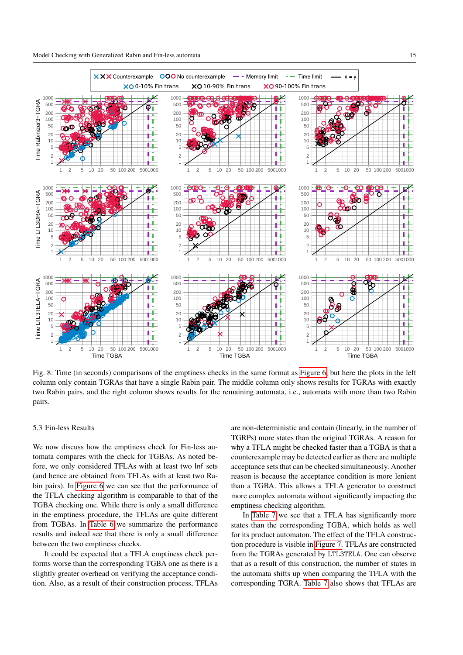<span id="page-14-0"></span>

Fig. 8: Time (in seconds) comparisons of the emptiness checks in the same format as [Figure 6,](#page-12-0) but here the plots in the left column only contain TGRAs that have a single Rabin pair. The middle column only shows results for TGRAs with exactly two Rabin pairs, and the right column shows results for the remaining automata, i.e., automata with more than two Rabin pairs.

### 5.3 Fin-less Results

We now discuss how the emptiness check for Fin-less automata compares with the check for TGBAs. As noted before, we only considered TFLAs with at least two Inf sets (and hence are obtained from TFLAs with at least two Rabin pairs). In [Figure 6](#page-12-0) we can see that the performance of the TFLA checking algorithm is comparable to that of the TGBA checking one. While there is only a small difference in the emptiness procedure, the TFLAs are quite different from TGBAs. In [Table 6](#page-13-1) we summarize the performance results and indeed see that there is only a small difference between the two emptiness checks.

It could be expected that a TFLA emptiness check performs worse than the corresponding TGBA one as there is a slightly greater overhead on verifying the acceptance condition. Also, as a result of their construction process, TFLAs

are non-deterministic and contain (linearly, in the number of TGRPs) more states than the original TGRAs. A reason for why a TFLA might be checked faster than a TGBA is that a counterexample may be detected earlier as there are multiple acceptance sets that can be checked simultaneously. Another reason is because the acceptance condition is more lenient than a TGBA. This allows a TFLA generator to construct more complex automata without significantly impacting the emptiness checking algorithm.

In [Table 7](#page-13-2) we see that a TFLA has significantly more states than the corresponding TGBA, which holds as well for its product automaton. The effect of the TFLA construction procedure is visible in [Figure 7.](#page-13-0) TFLAs are constructed from the TGRAs generated by LTL3TELA. One can observe that as a result of this construction, the number of states in the automata shifts up when comparing the TFLA with the corresponding TGRA. [Table 7](#page-13-2) also shows that TFLAs are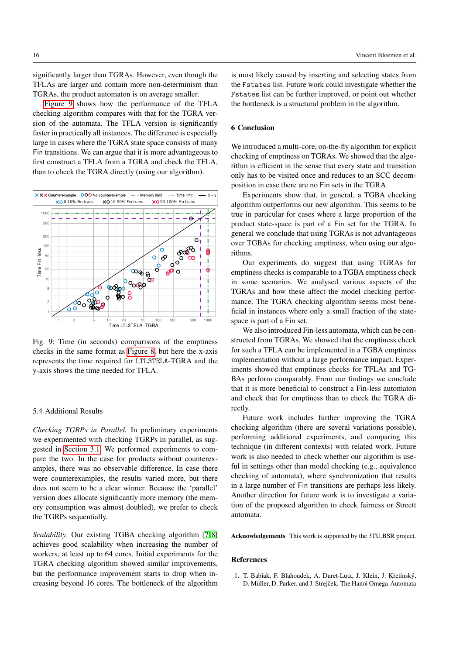significantly larger than TGRAs. However, even though the TFLAs are larger and contain more non-determinism than TGRAs, the product automaton is on average smaller.

[Figure 9](#page-15-2) shows how the performance of the TFLA checking algorithm compares with that for the TGRA version of the automata. The TFLA version is significantly faster in practically all instances. The difference is especially large in cases where the TGRA state space consists of many Fin transitions. We can argue that it is more advantageous to first construct a TFLA from a TGRA and check the TFLA, than to check the TGRA directly (using our algorithm).

<span id="page-15-2"></span>

Fig. 9: Time (in seconds) comparisons of the emptiness checks in the same format as [Figure 8,](#page-14-0) but here the x-axis represents the time required for LTL3TELA-TGRA and the y-axis shows the time needed for TFLA.

### 5.4 Additional Results

*Checking TGRPs in Parallel.* In preliminary experiments we experimented with checking TGRPs in parallel, as suggested in [Section 3.1.](#page-4-3) We performed experiments to compare the two. In the case for products without counterexamples, there was no observable difference. In case there were counterexamples, the results varied more, but there does not seem to be a clear winner. Because the 'parallel' version does allocate significantly more memory (the memory consumption was almost doubled), we prefer to check the TGRPs sequentially.

*Scalability.* Our existing TGBA checking algorithm [\[7,](#page-16-21)8] achieves good scalability when increasing the number of workers, at least up to 64 cores. Initial experiments for the TGRA checking algorithm showed similar improvements, but the performance improvement starts to drop when increasing beyond 16 cores. The bottleneck of the algorithm is most likely caused by inserting and selecting states from the Fstates list. Future work could investigate whether the Fstates list can be further improved, or point out whether the bottleneck is a structural problem in the algorithm.

#### <span id="page-15-1"></span>6 Conclusion

We introduced a multi-core, on-the-fly algorithm for explicit checking of emptiness on TGRAs. We showed that the algorithm is efficient in the sense that every state and transition only has to be visited once and reduces to an SCC decomposition in case there are no Fin sets in the TGRA.

Experiments show that, in general, a TGBA checking algorithm outperforms our new algorithm. This seems to be true in particular for cases where a large proportion of the product state-space is part of a Fin set for the TGRA. In general we conclude that using TGRAs is not advantageous over TGBAs for checking emptiness, when using our algorithms.

Our experiments do suggest that using TGRAs for emptiness checks is comparable to a TGBA emptiness check in some scenarios. We analysed various aspects of the TGRAs and how these affect the model checking performance. The TGRA checking algorithm seems most beneficial in instances where only a small fraction of the statespace is part of a Fin set.

We also introduced Fin-less automata, which can be constructed from TGRAs. We showed that the emptiness check for such a TFLA can be implemented in a TGBA emptiness implementation without a large performance impact. Experiments showed that emptiness checks for TFLAs and TG-BAs perform comparably. From our findings we conclude that it is more beneficial to construct a Fin-less automaton and check that for emptiness than to check the TGRA directly.

Future work includes further improving the TGRA checking algorithm (there are several variations possible), performing additional experiments, and comparing this technique (in different contexts) with related work. Future work is also needed to check whether our algorithm is useful in settings other than model checking (e.g., equivalence checking of automata), where synchronization that results in a large number of Fin transitions are perhaps less likely. Another direction for future work is to investigate a variation of the proposed algorithm to check fairness or Streett automata.

Acknowledgements This work is supported by the 3TU.BSR project.

## References

<span id="page-15-0"></span>1. T. Babiak, F. Blahoudek, A. Duret-Lutz, J. Klein, J. Křetínský, D. Müller, D. Parker, and J. Strejček. The Hanoi Omega-Automata